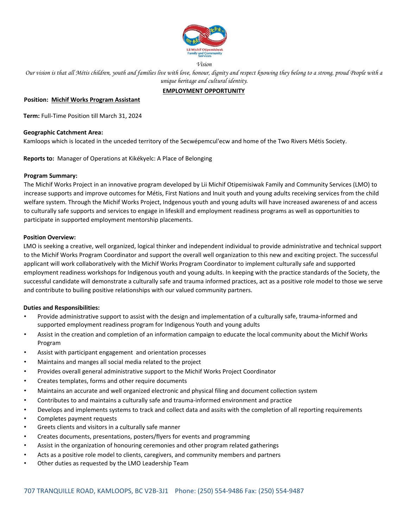

*Vision* 

*Our vision is that all Métis children, youth and families live with love, honour, dignity and respect knowing they belong to a strong, proud People with a unique heritage and cultural identity.* 

# **EMPLOYMENT OPPORTUNITY**

## **Position: Michif Works Program Assistant**

**Term:** Full‐Time Position till March 31, 2024

## **Geographic Catchment Area:**

Kamloops which is located in the unceded territory of the Secwépemcul'ecw and home of the Two Rivers Métis Society.

**Reports to:** Manager of Operations at Kikékyelc: A Place of Belonging

## **Program Summary:**

The Michif Works Project in an innovative program developed by Lii Michif Otipemisiwak Family and Community Services (LMO) to increase supports and improve outcomes for Métis, First Nations and Inuit youth and young adults receiving services from the child welfare system. Through the Michif Works Project, Indgenous youth and young adults will have increased awareness of and access to culturally safe supports and services to engage in lifeskill and employment readiness programs as well as opportunities to participate in supported employment mentorship placements.

## **Position Overview:**

LMO is seeking a creative, well organized, logical thinker and independent individual to provide administrative and technical support to the Michif Works Program Coordinator and support the overall well organization to this new and exciting project. The successful applicant will work collaboratively with the Michif Works Program Coordinator to implement culturally safe and supported employment readiness workshops for Indigenous youth and young adults. In keeping with the practice standards of the Society, the successful candidate will demonstrate a culturally safe and trauma informed practices, act as a positive role model to those we serve and contribute to builing positive relationships with our valued community partners.

## **Duties and Responsibilities:**

- Provide administrative support to assist with the design and implementation of a culturally safe, trauma‐informed and supported employment readiness program for Indigenous Youth and young adults
- Assist in the creation and completion of an information campaign to educate the local community about the Michif Works Program
- Assist with participant engagement and orientation processes
- Maintains and manges all social media related to the project
- Provides overall general administrative support to the Michif Works Project Coordinator
- Creates templates, forms and other require documents
- Maintains an accurate and well organized electronic and physical filing and document collection system
- Contributes to and maintains a culturally safe and trauma‐informed environment and practice
- Develops and implements systems to track and collect data and assits with the completion of all reporting requirements
- Completes payment requests
- Greets clients and visitors in a culturally safe manner
- Creates documents, presentations, posters/flyers for events and programming
- Assist in the organization of honouring ceremonies and other program related gatherings
- Acts as a positive role model to clients, caregivers, and community members and partners
- Other duties as requested by the LMO Leadership Team